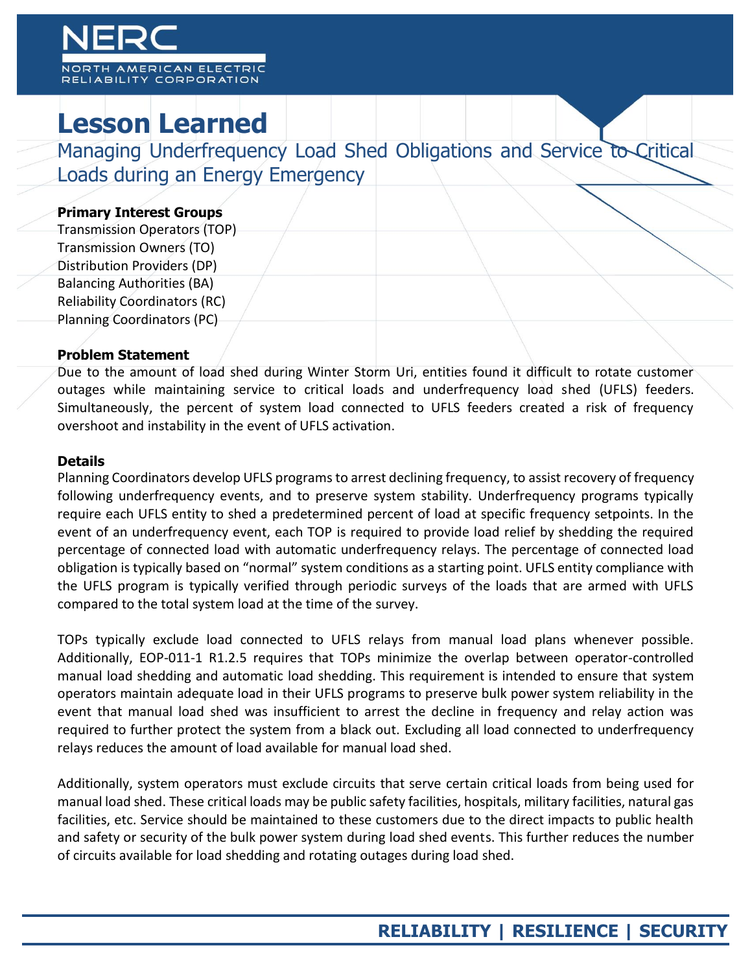# CAN ELECTRI

Y CORPORATION

# **Lesson Learned**

Managing Underfrequency Load Shed Obligations and Service to Critical Loads during an Energy Emergency

## **Primary Interest Groups**

Transmission Operators (TOP) Transmission Owners (TO) Distribution Providers (DP) Balancing Authorities (BA) Reliability Coordinators (RC) Planning Coordinators (PC)

## **Problem Statement**

Due to the amount of load shed during Winter Storm Uri, entities found it difficult to rotate customer outages while maintaining service to critical loads and underfrequency load shed (UFLS) feeders. Simultaneously, the percent of system load connected to UFLS feeders created a risk of frequency overshoot and instability in the event of UFLS activation.

#### **Details**

Planning Coordinators develop UFLS programs to arrest declining frequency, to assist recovery of frequency following underfrequency events, and to preserve system stability. Underfrequency programs typically require each UFLS entity to shed a predetermined percent of load at specific frequency setpoints. In the event of an underfrequency event, each TOP is required to provide load relief by shedding the required percentage of connected load with automatic underfrequency relays. The percentage of connected load obligation is typically based on "normal" system conditions as a starting point. UFLS entity compliance with the UFLS program is typically verified through periodic surveys of the loads that are armed with UFLS compared to the total system load at the time of the survey.

TOPs typically exclude load connected to UFLS relays from manual load plans whenever possible. Additionally, EOP-011-1 R1.2.5 requires that TOPs minimize the overlap between operator-controlled manual load shedding and automatic load shedding. This requirement is intended to ensure that system operators maintain adequate load in their UFLS programs to preserve bulk power system reliability in the event that manual load shed was insufficient to arrest the decline in frequency and relay action was required to further protect the system from a black out. Excluding all load connected to underfrequency relays reduces the amount of load available for manual load shed.

Additionally, system operators must exclude circuits that serve certain critical loads from being used for manual load shed. These critical loads may be public safety facilities, hospitals, military facilities, natural gas facilities, etc. Service should be maintained to these customers due to the direct impacts to public health and safety or security of the bulk power system during load shed events. This further reduces the number of circuits available for load shedding and rotating outages during load shed.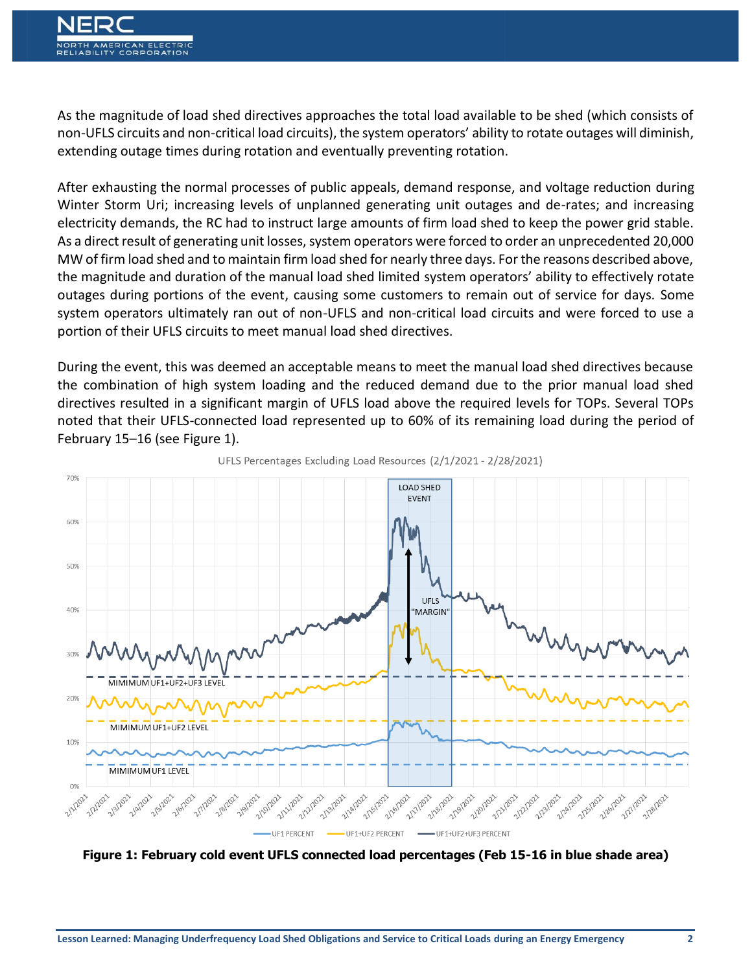As the magnitude of load shed directives approaches the total load available to be shed (which consists of non-UFLS circuits and non-critical load circuits), the system operators' ability to rotate outages will diminish, extending outage times during rotation and eventually preventing rotation.

After exhausting the normal processes of public appeals, demand response, and voltage reduction during Winter Storm Uri; increasing levels of unplanned generating unit outages and de-rates; and increasing electricity demands, the RC had to instruct large amounts of firm load shed to keep the power grid stable. As a direct result of generating unit losses, system operators were forced to order an unprecedented 20,000 MW of firm load shed and to maintain firm load shed for nearly three days. For the reasons described above, the magnitude and duration of the manual load shed limited system operators' ability to effectively rotate outages during portions of the event, causing some customers to remain out of service for days. Some system operators ultimately ran out of non-UFLS and non-critical load circuits and were forced to use a portion of their UFLS circuits to meet manual load shed directives.

During the event, this was deemed an acceptable means to meet the manual load shed directives because the combination of high system loading and the reduced demand due to the prior manual load shed directives resulted in a significant margin of UFLS load above the required levels for TOPs. Several TOPs noted that their UFLS-connected load represented up to 60% of its remaining load during the period of February 15–16 (see Figure 1).



UFLS Percentages Excluding Load Resources (2/1/2021 - 2/28/2021)

**Figure 1: February cold event UFLS connected load percentages (Feb 15-16 in blue shade area)**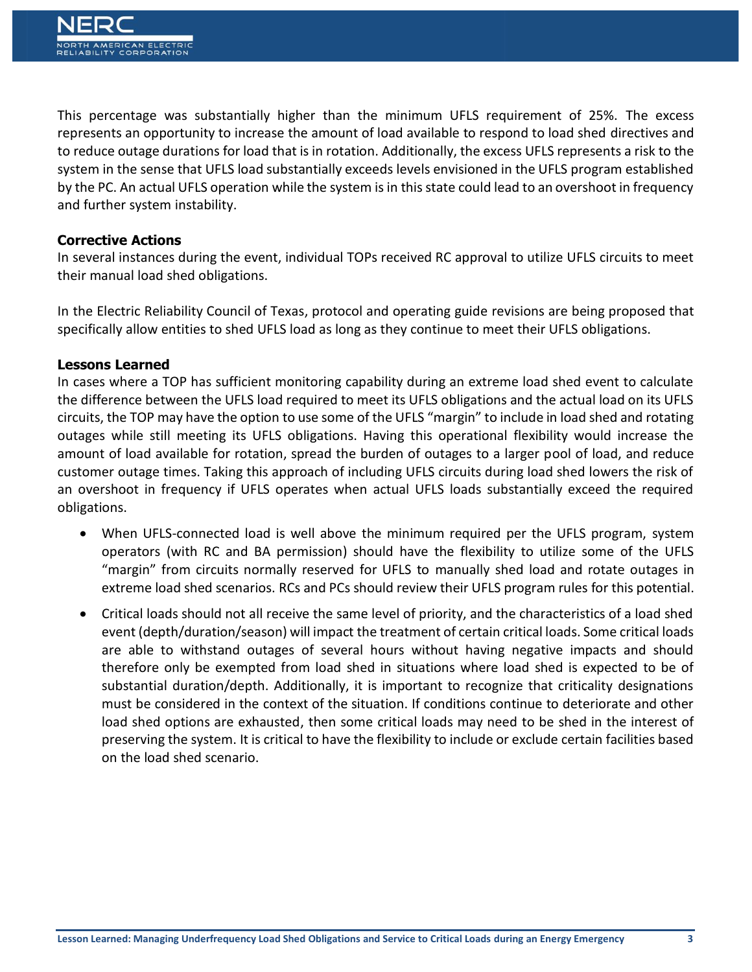This percentage was substantially higher than the minimum UFLS requirement of 25%. The excess represents an opportunity to increase the amount of load available to respond to load shed directives and to reduce outage durations for load that is in rotation. Additionally, the excess UFLS represents a risk to the system in the sense that UFLS load substantially exceeds levels envisioned in the UFLS program established by the PC. An actual UFLS operation while the system is in this state could lead to an overshoot in frequency and further system instability.

## **Corrective Actions**

In several instances during the event, individual TOPs received RC approval to utilize UFLS circuits to meet their manual load shed obligations.

In the Electric Reliability Council of Texas, protocol and operating guide revisions are being proposed that specifically allow entities to shed UFLS load as long as they continue to meet their UFLS obligations.

#### **Lessons Learned**

In cases where a TOP has sufficient monitoring capability during an extreme load shed event to calculate the difference between the UFLS load required to meet its UFLS obligations and the actual load on its UFLS circuits, the TOP may have the option to use some of the UFLS "margin" to include in load shed and rotating outages while still meeting its UFLS obligations. Having this operational flexibility would increase the amount of load available for rotation, spread the burden of outages to a larger pool of load, and reduce customer outage times. Taking this approach of including UFLS circuits during load shed lowers the risk of an overshoot in frequency if UFLS operates when actual UFLS loads substantially exceed the required obligations.

- When UFLS-connected load is well above the minimum required per the UFLS program, system operators (with RC and BA permission) should have the flexibility to utilize some of the UFLS "margin" from circuits normally reserved for UFLS to manually shed load and rotate outages in extreme load shed scenarios. RCs and PCs should review their UFLS program rules for this potential.
- Critical loads should not all receive the same level of priority, and the characteristics of a load shed event (depth/duration/season) will impact the treatment of certain critical loads. Some critical loads are able to withstand outages of several hours without having negative impacts and should therefore only be exempted from load shed in situations where load shed is expected to be of substantial duration/depth. Additionally, it is important to recognize that criticality designations must be considered in the context of the situation. If conditions continue to deteriorate and other load shed options are exhausted, then some critical loads may need to be shed in the interest of preserving the system. It is critical to have the flexibility to include or exclude certain facilities based on the load shed scenario.